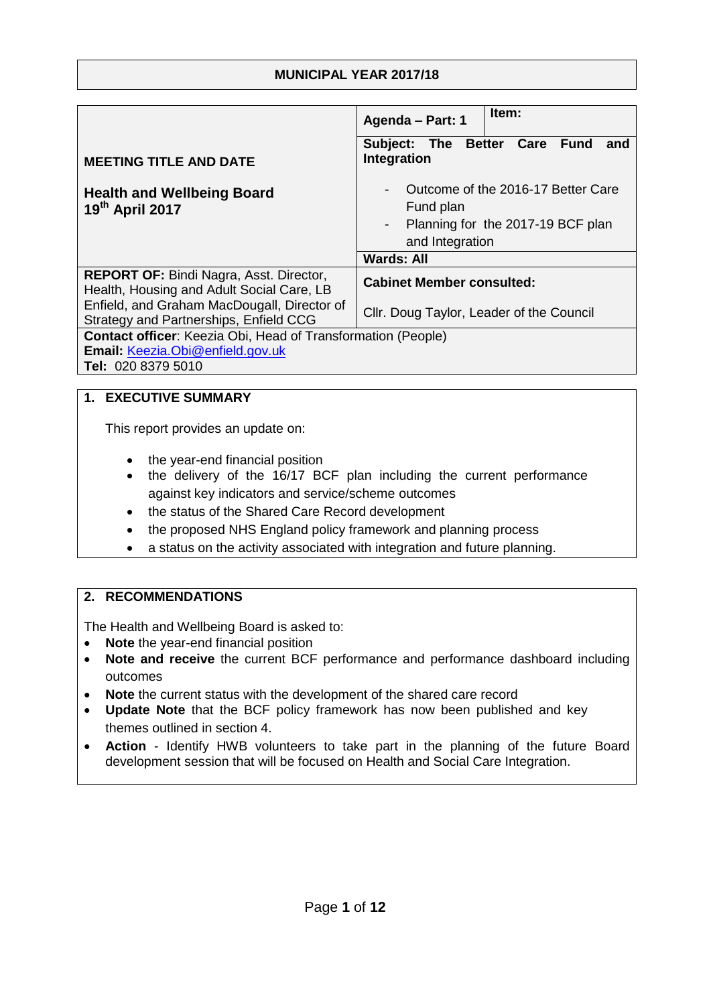### **MUNICIPAL YEAR 2017/18**

|                                                                                                                               | Item:<br>Agenda - Part: 1                                                                                                                                    |  |
|-------------------------------------------------------------------------------------------------------------------------------|--------------------------------------------------------------------------------------------------------------------------------------------------------------|--|
| <b>MEETING TITLE AND DATE</b>                                                                                                 | Subject: The Better Care Fund<br>and<br>Integration                                                                                                          |  |
| <b>Health and Wellbeing Board</b><br>19th April 2017                                                                          | Outcome of the 2016-17 Better Care<br>$\blacksquare$<br>Fund plan<br>Planning for the 2017-19 BCF plan<br>$\sim 100$<br>and Integration<br><b>Wards: All</b> |  |
| <b>REPORT OF: Bindi Nagra, Asst. Director,</b><br>Health, Housing and Adult Social Care, LB                                   | <b>Cabinet Member consulted:</b>                                                                                                                             |  |
| Enfield, and Graham MacDougall, Director of<br>Strategy and Partnerships, Enfield CCG                                         | Cllr. Doug Taylor, Leader of the Council                                                                                                                     |  |
| <b>Contact officer:</b> Keezia Obi, Head of Transformation (People)<br>Email: Keezia.Obi@enfield.gov.uk<br>Tel: 020 8379 5010 |                                                                                                                                                              |  |

### **1. EXECUTIVE SUMMARY**

This report provides an update on:

- the year-end financial position
- the delivery of the 16/17 BCF plan including the current performance against key indicators and service/scheme outcomes
- the status of the Shared Care Record development
- the proposed NHS England policy framework and planning process
- a status on the activity associated with integration and future planning.

### **2. RECOMMENDATIONS**

The Health and Wellbeing Board is asked to:

- **Note** the year-end financial position
- **Note and receive** the current BCF performance and performance dashboard including outcomes
- **Note** the current status with the development of the shared care record
- **Update Note** that the BCF policy framework has now been published and key themes outlined in section 4.
- **Action** Identify HWB volunteers to take part in the planning of the future Board development session that will be focused on Health and Social Care Integration.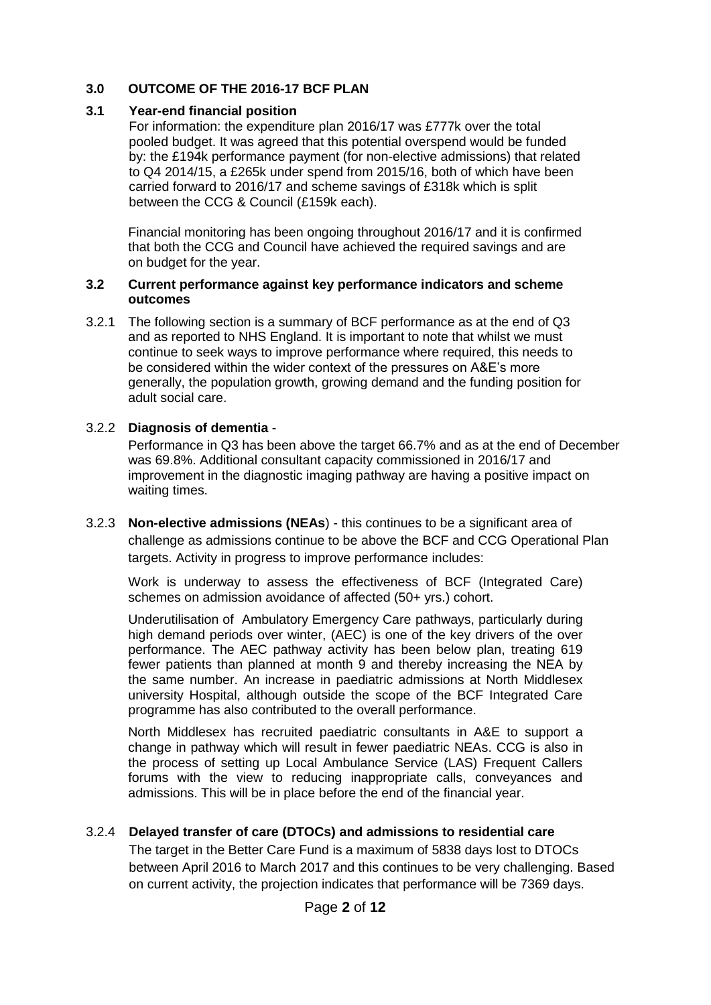### **3.0 OUTCOME OF THE 2016-17 BCF PLAN**

### **3.1 Year-end financial position**

For information: the expenditure plan 2016/17 was £777k over the total pooled budget. It was agreed that this potential overspend would be funded by: the £194k performance payment (for non-elective admissions) that related to Q4 2014/15, a £265k under spend from 2015/16, both of which have been carried forward to 2016/17 and scheme savings of £318k which is split between the CCG & Council (£159k each).

Financial monitoring has been ongoing throughout 2016/17 and it is confirmed that both the CCG and Council have achieved the required savings and are on budget for the year.

#### **3.2 Current performance against key performance indicators and scheme outcomes**

3.2.1 The following section is a summary of BCF performance as at the end of Q3 and as reported to NHS England. It is important to note that whilst we must continue to seek ways to improve performance where required, this needs to be considered within the wider context of the pressures on A&E's more generally, the population growth, growing demand and the funding position for adult social care.

### 3.2.2 **Diagnosis of dementia** -

Performance in Q3 has been above the target 66.7% and as at the end of December was 69.8%. Additional consultant capacity commissioned in 2016/17 and improvement in the diagnostic imaging pathway are having a positive impact on waiting times.

3.2.3 **Non-elective admissions (NEAs**) - this continues to be a significant area of challenge as admissions continue to be above the BCF and CCG Operational Plan targets. Activity in progress to improve performance includes:

Work is underway to assess the effectiveness of BCF (Integrated Care) schemes on admission avoidance of affected (50+ yrs.) cohort.

Underutilisation of Ambulatory Emergency Care pathways, particularly during high demand periods over winter, (AEC) is one of the key drivers of the over performance. The AEC pathway activity has been below plan, treating 619 fewer patients than planned at month 9 and thereby increasing the NEA by the same number. An increase in paediatric admissions at North Middlesex university Hospital, although outside the scope of the BCF Integrated Care programme has also contributed to the overall performance.

North Middlesex has recruited paediatric consultants in A&E to support a change in pathway which will result in fewer paediatric NEAs. CCG is also in the process of setting up Local Ambulance Service (LAS) Frequent Callers forums with the view to reducing inappropriate calls, conveyances and admissions. This will be in place before the end of the financial year.

### 3.2.4 **Delayed transfer of care (DTOCs) and admissions to residential care**

The target in the Better Care Fund is a maximum of 5838 days lost to DTOCs between April 2016 to March 2017 and this continues to be very challenging. Based on current activity, the projection indicates that performance will be 7369 days.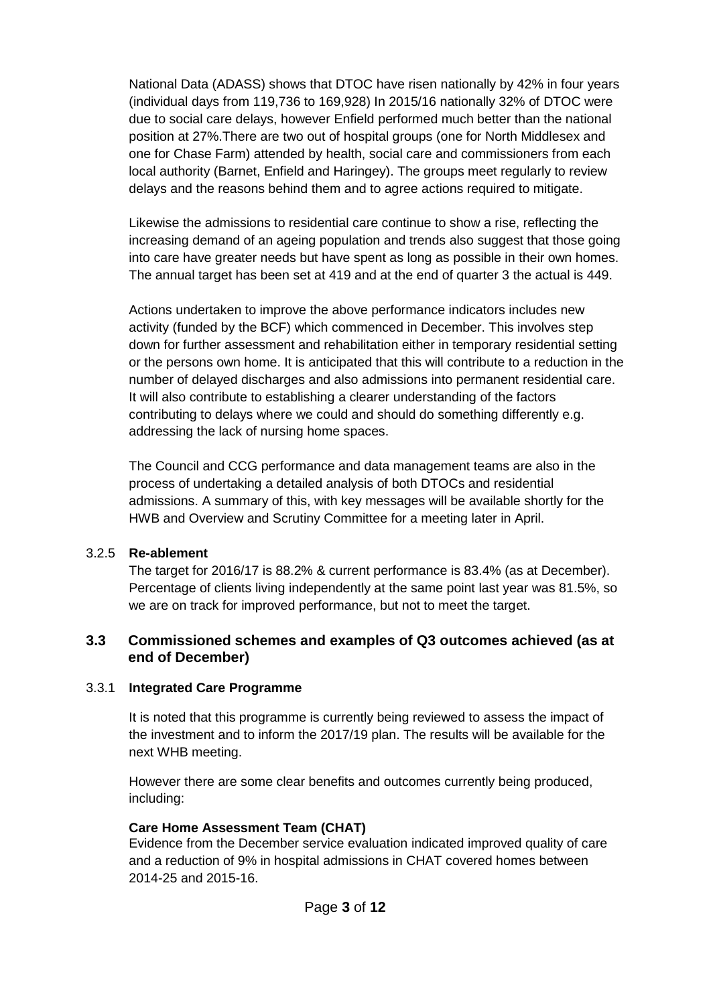National Data (ADASS) shows that DTOC have risen nationally by 42% in four years (individual days from 119,736 to 169,928) In 2015/16 nationally 32% of DTOC were due to social care delays, however Enfield performed much better than the national position at 27%.There are two out of hospital groups (one for North Middlesex and one for Chase Farm) attended by health, social care and commissioners from each local authority (Barnet, Enfield and Haringey). The groups meet regularly to review delays and the reasons behind them and to agree actions required to mitigate.

Likewise the admissions to residential care continue to show a rise, reflecting the increasing demand of an ageing population and trends also suggest that those going into care have greater needs but have spent as long as possible in their own homes. The annual target has been set at 419 and at the end of quarter 3 the actual is 449.

Actions undertaken to improve the above performance indicators includes new activity (funded by the BCF) which commenced in December. This involves step down for further assessment and rehabilitation either in temporary residential setting or the persons own home. It is anticipated that this will contribute to a reduction in the number of delayed discharges and also admissions into permanent residential care. It will also contribute to establishing a clearer understanding of the factors contributing to delays where we could and should do something differently e.g. addressing the lack of nursing home spaces.

The Council and CCG performance and data management teams are also in the process of undertaking a detailed analysis of both DTOCs and residential admissions. A summary of this, with key messages will be available shortly for the HWB and Overview and Scrutiny Committee for a meeting later in April.

### 3.2.5 **Re-ablement**

The target for 2016/17 is 88.2% & current performance is 83.4% (as at December). Percentage of clients living independently at the same point last year was 81.5%, so we are on track for improved performance, but not to meet the target.

### **3.3 Commissioned schemes and examples of Q3 outcomes achieved (as at end of December)**

### 3.3.1 **Integrated Care Programme**

It is noted that this programme is currently being reviewed to assess the impact of the investment and to inform the 2017/19 plan. The results will be available for the next WHB meeting.

However there are some clear benefits and outcomes currently being produced, including:

### **Care Home Assessment Team (CHAT)**

Evidence from the December service evaluation indicated improved quality of care and a reduction of 9% in hospital admissions in CHAT covered homes between 2014-25 and 2015-16.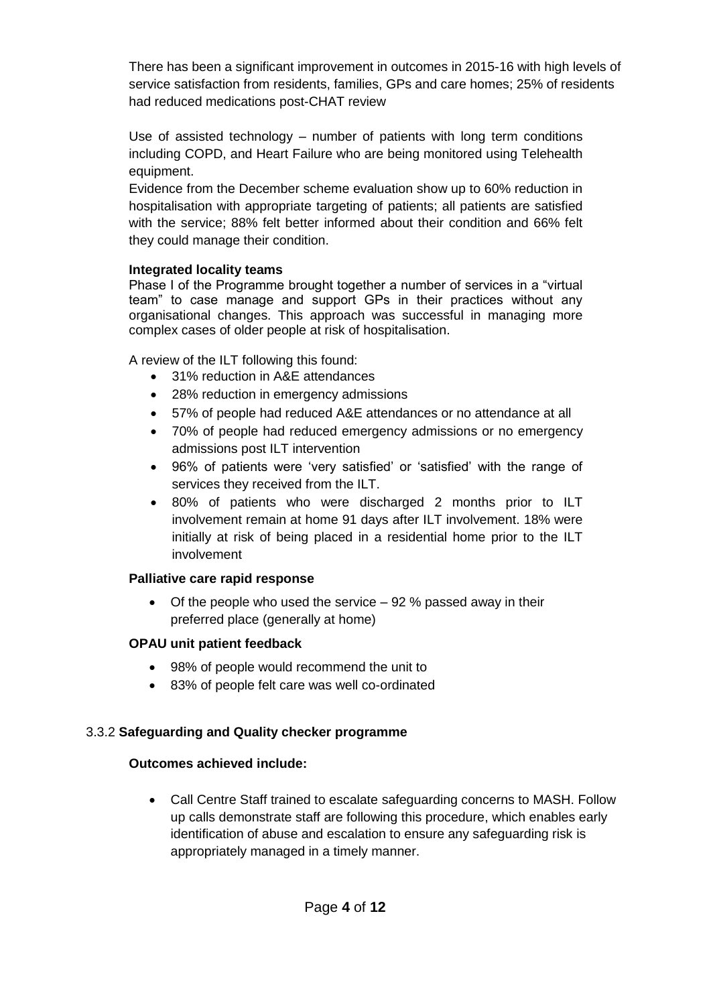There has been a significant improvement in outcomes in 2015-16 with high levels of service satisfaction from residents, families, GPs and care homes; 25% of residents had reduced medications post-CHAT review

Use of assisted technology – number of patients with long term conditions including COPD, and Heart Failure who are being monitored using Telehealth equipment.

Evidence from the December scheme evaluation show up to 60% reduction in hospitalisation with appropriate targeting of patients; all patients are satisfied with the service; 88% felt better informed about their condition and 66% felt they could manage their condition.

### **Integrated locality teams**

Phase I of the Programme brought together a number of services in a "virtual team" to case manage and support GPs in their practices without any organisational changes. This approach was successful in managing more complex cases of older people at risk of hospitalisation.

A review of the ILT following this found:

- 31% reduction in A&E attendances
- 28% reduction in emergency admissions
- 57% of people had reduced A&E attendances or no attendance at all
- 70% of people had reduced emergency admissions or no emergency admissions post ILT intervention
- 96% of patients were 'very satisfied' or 'satisfied' with the range of services they received from the ILT.
- 80% of patients who were discharged 2 months prior to ILT involvement remain at home 91 days after ILT involvement. 18% were initially at risk of being placed in a residential home prior to the ILT involvement

## **Palliative care rapid response**

 $\bullet$  Of the people who used the service  $-92\%$  passed away in their preferred place (generally at home)

# **OPAU unit patient feedback**

- 98% of people would recommend the unit to
- 83% of people felt care was well co-ordinated

# 3.3.2 **Safeguarding and Quality checker programme**

## **Outcomes achieved include:**

 Call Centre Staff trained to escalate safeguarding concerns to MASH. Follow up calls demonstrate staff are following this procedure, which enables early identification of abuse and escalation to ensure any safeguarding risk is appropriately managed in a timely manner.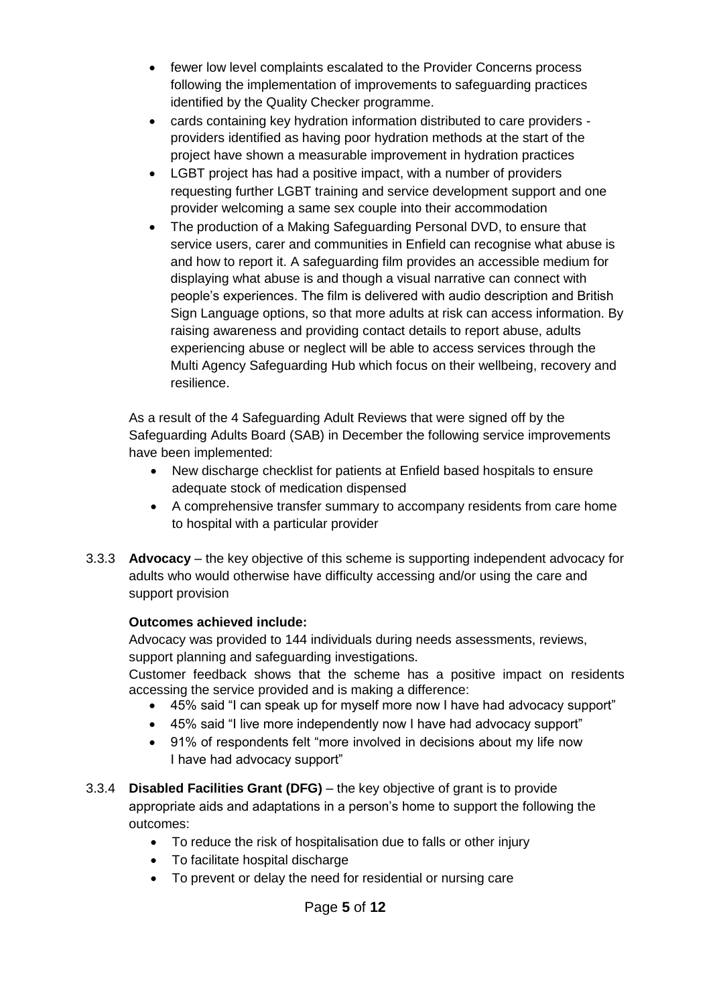- fewer low level complaints escalated to the Provider Concerns process following the implementation of improvements to safeguarding practices identified by the Quality Checker programme.
- cards containing key hydration information distributed to care providers providers identified as having poor hydration methods at the start of the project have shown a measurable improvement in hydration practices
- LGBT project has had a positive impact, with a number of providers requesting further LGBT training and service development support and one provider welcoming a same sex couple into their accommodation
- The production of a Making Safeguarding Personal DVD, to ensure that service users, carer and communities in Enfield can recognise what abuse is and how to report it. A safeguarding film provides an accessible medium for displaying what abuse is and though a visual narrative can connect with people's experiences. The film is delivered with audio description and British Sign Language options, so that more adults at risk can access information. By raising awareness and providing contact details to report abuse, adults experiencing abuse or neglect will be able to access services through the Multi Agency Safeguarding Hub which focus on their wellbeing, recovery and resilience.

As a result of the 4 Safeguarding Adult Reviews that were signed off by the Safeguarding Adults Board (SAB) in December the following service improvements have been implemented:

- New discharge checklist for patients at Enfield based hospitals to ensure adequate stock of medication dispensed
- A comprehensive transfer summary to accompany residents from care home to hospital with a particular provider
- 3.3.3 **Advocacy** the key objective of this scheme is supporting independent advocacy for adults who would otherwise have difficulty accessing and/or using the care and support provision

### **Outcomes achieved include:**

Advocacy was provided to 144 individuals during needs assessments, reviews, support planning and safeguarding investigations.

Customer feedback shows that the scheme has a positive impact on residents accessing the service provided and is making a difference:

- 45% said "I can speak up for myself more now I have had advocacy support"
- 45% said "I live more independently now I have had advocacy support"
- 91% of respondents felt "more involved in decisions about my life now I have had advocacy support"
- 3.3.4 **Disabled Facilities Grant (DFG)** the key objective of grant is to provide appropriate aids and adaptations in a person's home to support the following the outcomes:
	- To reduce the risk of hospitalisation due to falls or other injury
	- To facilitate hospital discharge
	- To prevent or delay the need for residential or nursing care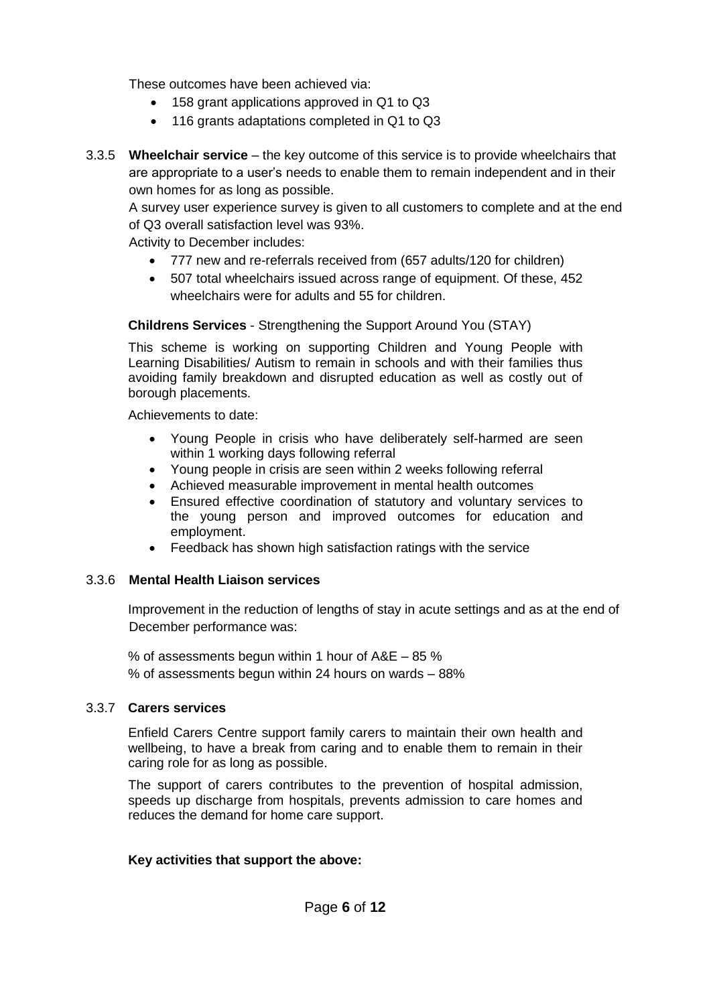These outcomes have been achieved via:

- 158 grant applications approved in Q1 to Q3
- 116 grants adaptations completed in Q1 to Q3
- 3.3.5 **Wheelchair service** the key outcome of this service is to provide wheelchairs that are appropriate to a user's needs to enable them to remain independent and in their own homes for as long as possible.

A survey user experience survey is given to all customers to complete and at the end of Q3 overall satisfaction level was 93%.

Activity to December includes:

- 777 new and re-referrals received from (657 adults/120 for children)
- 507 total wheelchairs issued across range of equipment. Of these, 452 wheelchairs were for adults and 55 for children.

**Childrens Services** - Strengthening the Support Around You (STAY)

This scheme is working on supporting Children and Young People with Learning Disabilities/ Autism to remain in schools and with their families thus avoiding family breakdown and disrupted education as well as costly out of borough placements.

Achievements to date:

- Young People in crisis who have deliberately self-harmed are seen within 1 working days following referral
- Young people in crisis are seen within 2 weeks following referral
- Achieved measurable improvement in mental health outcomes
- Ensured effective coordination of statutory and voluntary services to the young person and improved outcomes for education and employment.
- Feedback has shown high satisfaction ratings with the service

### 3.3.6 **Mental Health Liaison services**

Improvement in the reduction of lengths of stay in acute settings and as at the end of December performance was:

% of assessments begun within 1 hour of A&E – 85 % % of assessments begun within 24 hours on wards – 88%

### 3.3.7 **Carers services**

Enfield Carers Centre support family carers to maintain their own health and wellbeing, to have a break from caring and to enable them to remain in their caring role for as long as possible.

The support of carers contributes to the prevention of hospital admission, speeds up discharge from hospitals, prevents admission to care homes and reduces the demand for home care support.

### **Key activities that support the above:**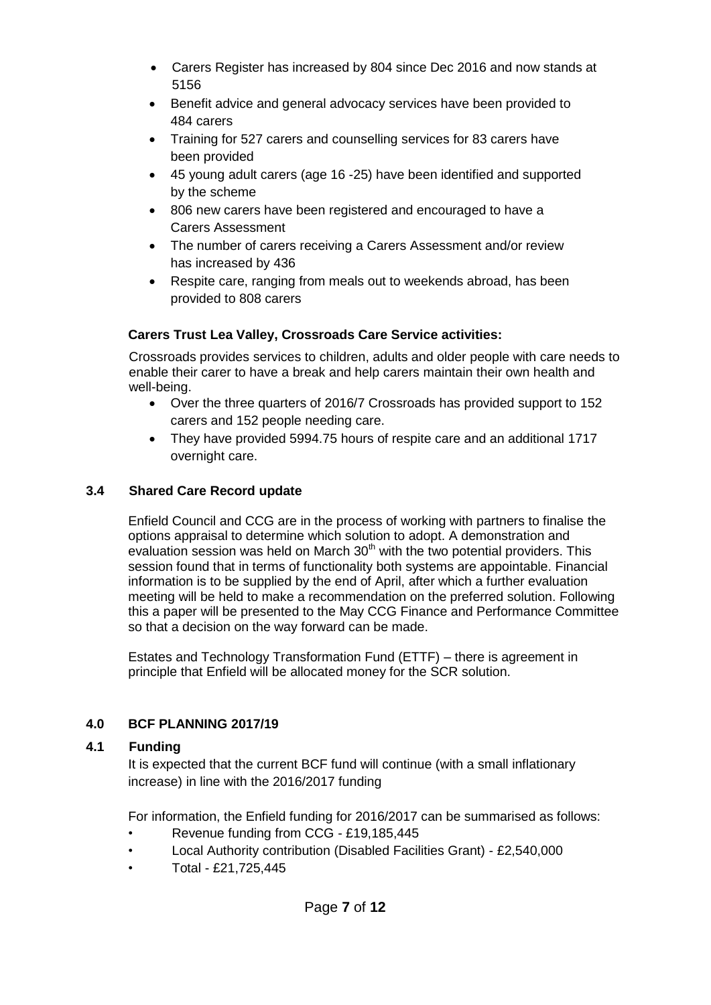- Carers Register has increased by 804 since Dec 2016 and now stands at 5156
- Benefit advice and general advocacy services have been provided to 484 carers
- Training for 527 carers and counselling services for 83 carers have been provided
- 45 young adult carers (age 16 -25) have been identified and supported by the scheme
- 806 new carers have been registered and encouraged to have a Carers Assessment
- The number of carers receiving a Carers Assessment and/or review has increased by 436
- Respite care, ranging from meals out to weekends abroad, has been provided to 808 carers

### **Carers Trust Lea Valley, Crossroads Care Service activities:**

Crossroads provides services to children, adults and older people with care needs to enable their carer to have a break and help carers maintain their own health and well-being.

- Over the three quarters of 2016/7 Crossroads has provided support to 152 carers and 152 people needing care.
- They have provided 5994.75 hours of respite care and an additional 1717 overnight care.

## **3.4 Shared Care Record update**

Enfield Council and CCG are in the process of working with partners to finalise the options appraisal to determine which solution to adopt. A demonstration and evaluation session was held on March  $30<sup>th</sup>$  with the two potential providers. This session found that in terms of functionality both systems are appointable. Financial information is to be supplied by the end of April, after which a further evaluation meeting will be held to make a recommendation on the preferred solution. Following this a paper will be presented to the May CCG Finance and Performance Committee so that a decision on the way forward can be made.

Estates and Technology Transformation Fund (ETTF) – there is agreement in principle that Enfield will be allocated money for the SCR solution.

## **4.0 BCF PLANNING 2017/19**

### **4.1 Funding**

It is expected that the current BCF fund will continue (with a small inflationary increase) in line with the 2016/2017 funding

For information, the Enfield funding for 2016/2017 can be summarised as follows:

- Revenue funding from CCG £19,185,445
- Local Authority contribution (Disabled Facilities Grant) £2,540,000
- Total £21,725,445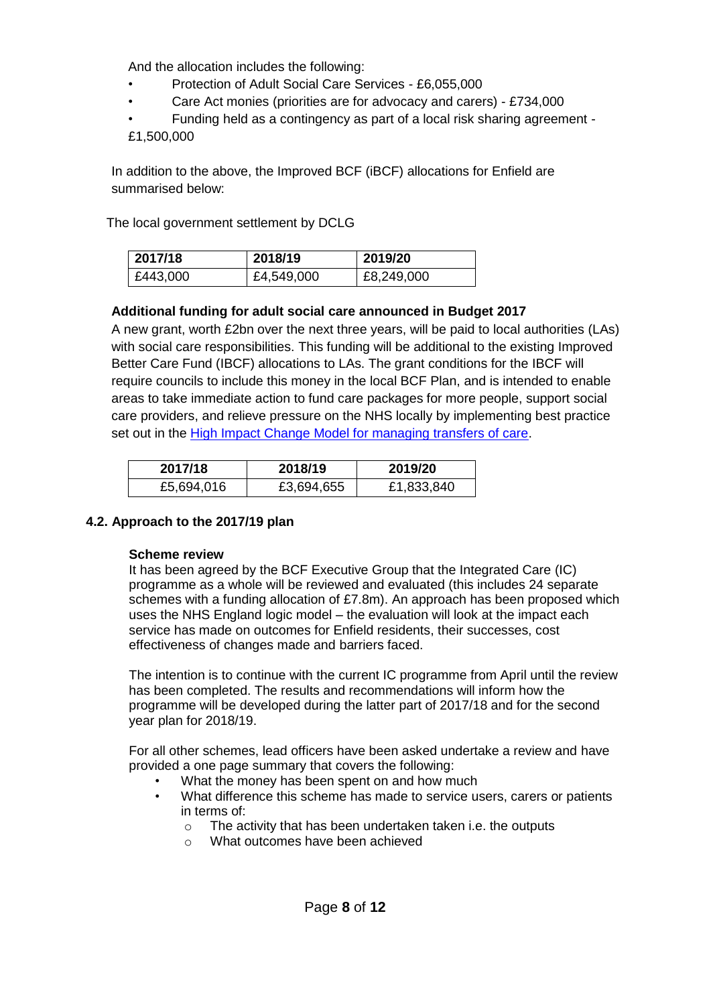And the allocation includes the following:

- Protection of Adult Social Care Services £6,055,000
- Care Act monies (priorities are for advocacy and carers) £734,000
- Funding held as a contingency as part of a local risk sharing agreement -
- £1,500,000

In addition to the above, the Improved BCF (iBCF) allocations for Enfield are summarised below:

The local government settlement by DCLG

| 2017/18  | 2018/19    | 2019/20    |
|----------|------------|------------|
| £443,000 | £4,549,000 | £8,249,000 |

### **Additional funding for adult social care announced in Budget 2017**

A new grant, worth £2bn over the next three years, will be paid to local authorities (LAs) with social care responsibilities. This funding will be additional to the existing Improved Better Care Fund (IBCF) allocations to LAs. The grant conditions for the IBCF will require councils to include this money in the local BCF Plan, and is intended to enable areas to take immediate action to fund care packages for more people, support social care providers, and relieve pressure on the NHS locally by implementing best practice set out in the [High Impact Change Model for managing transfers of care.](http://www.local.gov.uk/documents/10180/7058797/Impact+change+model+managing+transfers+of+care/3213644f-f382-4143-94c7-2dc5cd6e3c1a)

| 2017/18    | 2018/19    | 2019/20    |
|------------|------------|------------|
| £5,694,016 | £3,694,655 | £1,833,840 |

### **4.2. Approach to the 2017/19 plan**

### **Scheme review**

It has been agreed by the BCF Executive Group that the Integrated Care (IC) programme as a whole will be reviewed and evaluated (this includes 24 separate schemes with a funding allocation of £7.8m). An approach has been proposed which uses the NHS England logic model – the evaluation will look at the impact each service has made on outcomes for Enfield residents, their successes, cost effectiveness of changes made and barriers faced.

The intention is to continue with the current IC programme from April until the review has been completed. The results and recommendations will inform how the programme will be developed during the latter part of 2017/18 and for the second year plan for 2018/19.

For all other schemes, lead officers have been asked undertake a review and have provided a one page summary that covers the following:

- What the money has been spent on and how much
- What difference this scheme has made to service users, carers or patients in terms of:
	- o The activity that has been undertaken taken i.e. the outputs
	- o What outcomes have been achieved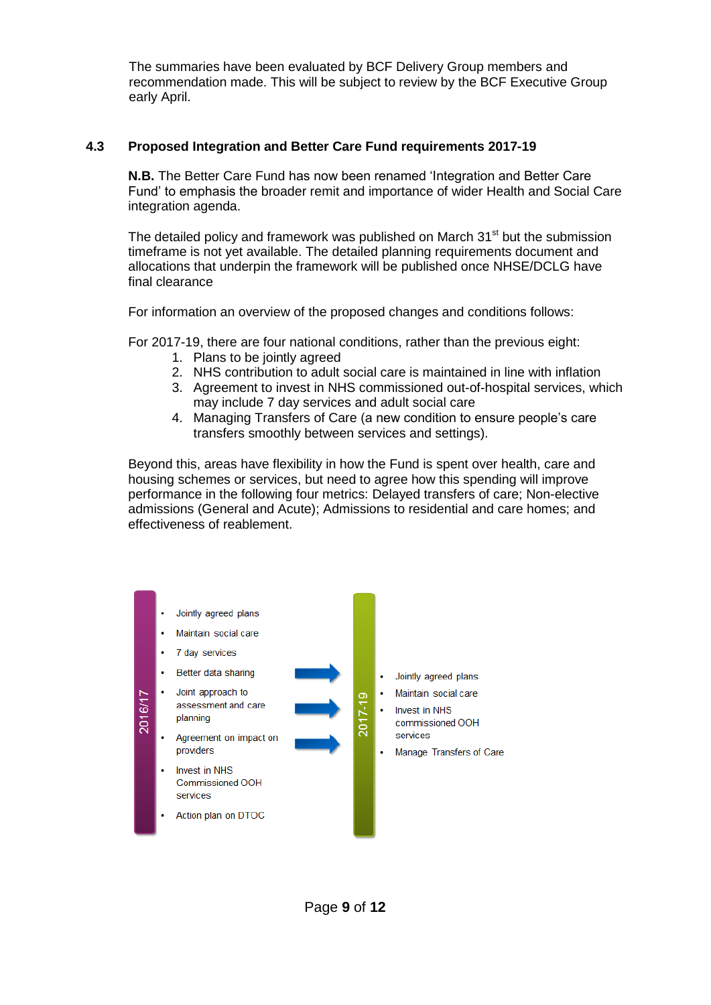The summaries have been evaluated by BCF Delivery Group members and recommendation made. This will be subject to review by the BCF Executive Group early April.

### **4.3 Proposed Integration and Better Care Fund requirements 2017-19**

**N.B.** The Better Care Fund has now been renamed 'Integration and Better Care Fund' to emphasis the broader remit and importance of wider Health and Social Care integration agenda.

The detailed policy and framework was published on March  $31<sup>st</sup>$  but the submission timeframe is not yet available. The detailed planning requirements document and allocations that underpin the framework will be published once NHSE/DCLG have final clearance

For information an overview of the proposed changes and conditions follows:

For 2017-19, there are four national conditions, rather than the previous eight:

- 1. Plans to be jointly agreed
- 2. NHS contribution to adult social care is maintained in line with inflation
- 3. Agreement to invest in NHS commissioned out-of-hospital services, which may include 7 day services and adult social care
- 4. Managing Transfers of Care (a new condition to ensure people's care transfers smoothly between services and settings).

Beyond this, areas have flexibility in how the Fund is spent over health, care and housing schemes or services, but need to agree how this spending will improve performance in the following four metrics: Delayed transfers of care; Non-elective admissions (General and Acute); Admissions to residential and care homes; and effectiveness of reablement.

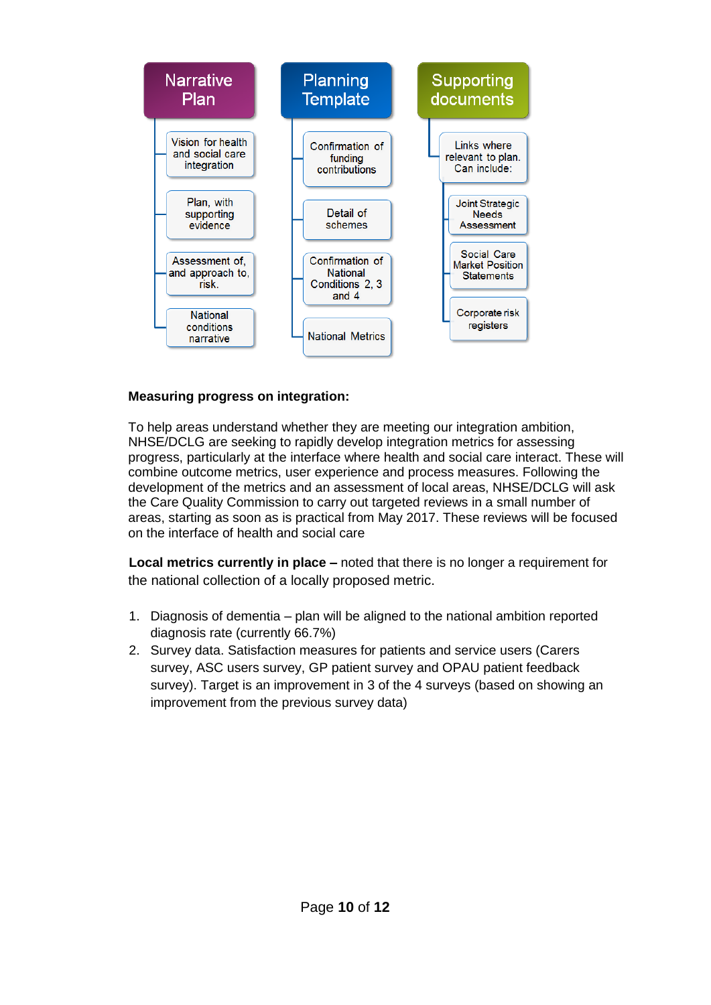

### **Measuring progress on integration:**

To help areas understand whether they are meeting our integration ambition, NHSE/DCLG are seeking to rapidly develop integration metrics for assessing progress, particularly at the interface where health and social care interact. These will combine outcome metrics, user experience and process measures. Following the development of the metrics and an assessment of local areas, NHSE/DCLG will ask the Care Quality Commission to carry out targeted reviews in a small number of areas, starting as soon as is practical from May 2017. These reviews will be focused on the interface of health and social care

**Local metrics currently in place –** noted that there is no longer a requirement for the national collection of a locally proposed metric.

- 1. Diagnosis of dementia plan will be aligned to the national ambition reported diagnosis rate (currently 66.7%)
- 2. Survey data. Satisfaction measures for patients and service users (Carers survey, ASC users survey, GP patient survey and OPAU patient feedback survey). Target is an improvement in 3 of the 4 surveys (based on showing an improvement from the previous survey data)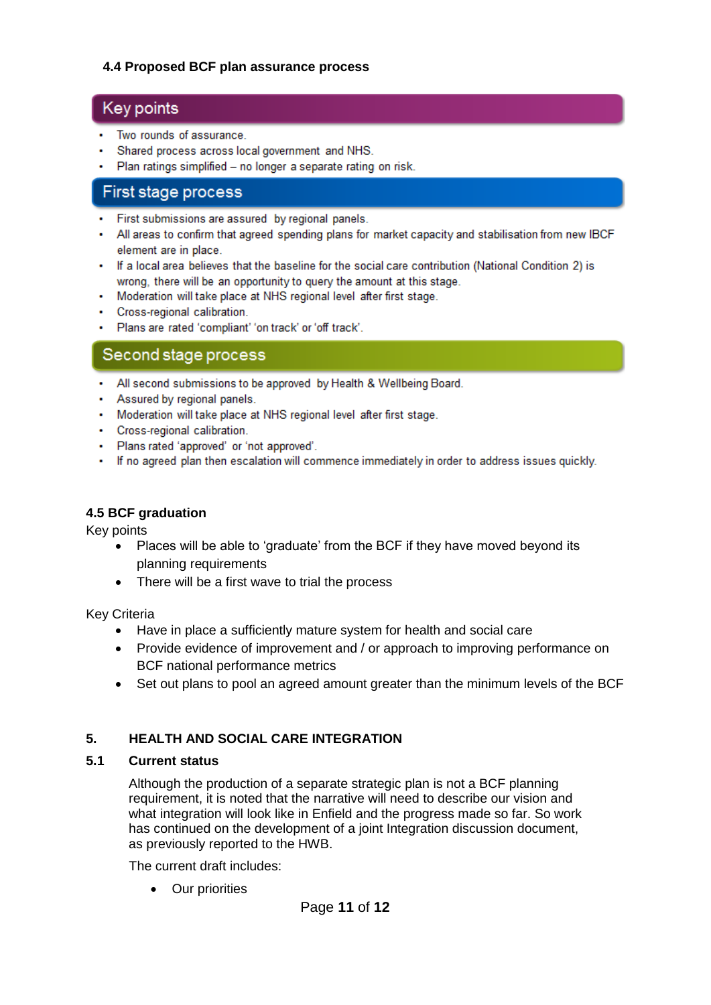### **4.4 Proposed BCF plan assurance process**

## Key points

- Two rounds of assurance.
- Shared process across local government and NHS.
- Plan ratings simplified no longer a separate rating on risk.

## First stage process

- First submissions are assured by regional panels.
- All areas to confirm that agreed spending plans for market capacity and stabilisation from new IBCF element are in place.
- If a local area believes that the baseline for the social care contribution (National Condition 2) is wrong, there will be an opportunity to query the amount at this stage.
- Moderation will take place at NHS regional level after first stage.
- Cross-regional calibration.
- . Plans are rated 'compliant' 'on track' or 'off track'.

### Second stage process

- All second submissions to be approved by Health & Wellbeing Board.
- Assured by regional panels.
- Moderation will take place at NHS regional level after first stage.
- Cross-regional calibration.
- · Plans rated 'approved' or 'not approved'.
- If no agreed plan then escalation will commence immediately in order to address issues quickly.

### **4.5 BCF graduation**

Key points

- Places will be able to 'graduate' from the BCF if they have moved beyond its planning requirements
- There will be a first wave to trial the process

Key Criteria

- Have in place a sufficiently mature system for health and social care
- Provide evidence of improvement and / or approach to improving performance on BCF national performance metrics
- Set out plans to pool an agreed amount greater than the minimum levels of the BCF

### **5. HEALTH AND SOCIAL CARE INTEGRATION**

### **5.1 Current status**

Although the production of a separate strategic plan is not a BCF planning requirement, it is noted that the narrative will need to describe our vision and what integration will look like in Enfield and the progress made so far. So work has continued on the development of a joint Integration discussion document, as previously reported to the HWB.

The current draft includes:

• Our priorities